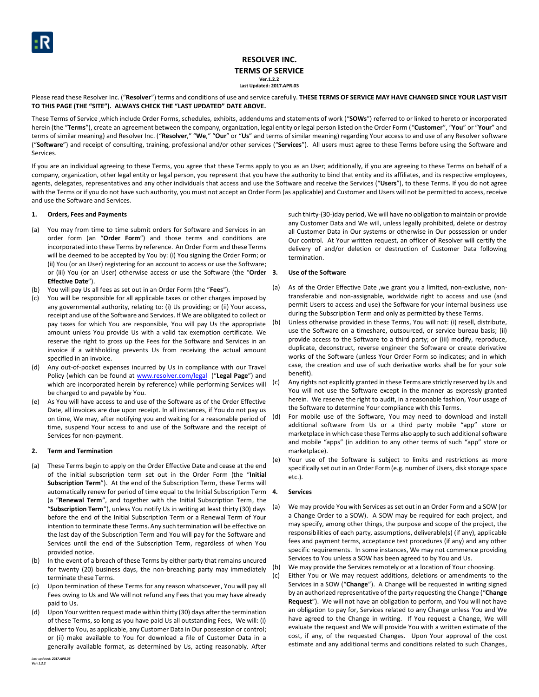### **RESOLVER INC. TERMS OF SERVICE Ver.1.2.2 Last Updated: 2017.APR.03**

Please read these Resolver Inc. ("**Resolver**") terms and conditions of use and service carefully. **THESE TERMS OF SERVICE MAY HAVE CHANGED SINCE YOUR LAST VISIT TO THIS PAGE (THE "SITE"). ALWAYS CHECK THE "LAST UPDATED" DATE ABOVE.**

These Terms of Service ,which include Order Forms, schedules, exhibits, addendums and statements of work ("**SOWs**") referred to or linked to hereto or incorporated herein (the "**Terms**"), create an agreement between the company, organization, legal entity or legal person listed on the Order Form ("**Customer**", "**You**" or "**Your**" and terms of similar meaning) and Resolver Inc. ("**Resolver**," "**We**," "**Our**" or "**Us**" and terms of similar meaning) regarding Your access to and use of any Resolver software ("**Software**") and receipt of consulting, training, professional and/or other services ("**Services**"). All users must agree to these Terms before using the Software and Services.

If you are an individual agreeing to these Terms, you agree that these Terms apply to you as an User; additionally, if you are agreeing to these Terms on behalf of a company, organization, other legal entity or legal person, you represent that you have the authority to bind that entity and its affiliates, and its respective employees, agents, delegates, representatives and any other individuals that access and use the Software and receive the Services ("**Users**"), to these Terms. If you do not agree with the Terms or if you do not have such authority, you must not accept an Order Form (as applicable) and Customer and Users will not be permitted to access, receive and use the Software and Services.

### **1. Orders, Fees and Payments**

- (a) You may from time to time submit orders for Software and Services in an order form (an "**Order Form**") and those terms and conditions are incorporated into these Terms by reference. An Order Form and these Terms will be deemed to be accepted by You by: (i) You signing the Order Form; or (ii) You (or an User) registering for an account to access or use the Software; or (iii) You (or an User) otherwise access or use the Software (the "**Order Effective Date**").
- (b) You will pay Us all fees as set out in an Order Form (the "**Fees**").
- (c) You will be responsible for all applicable taxes or other charges imposed by any governmental authority, relating to: (i) Us providing; or (ii) Your access, receipt and use of the Software and Services. If We are obligated to collect or pay taxes for which You are responsible, You will pay Us the appropriate amount unless You provide Us with a valid tax exemption certificate. We reserve the right to gross up the Fees for the Software and Services in an invoice if a withholding prevents Us from receiving the actual amount specified in an invoice.
- (d) Any out-of-pocket expenses incurred by Us in compliance with our Travel Policy (which can be found at [www.resolver.com/legal](http://www.resolver.com/legal) ("**Legal Page**") and which are incorporated herein by reference) while performing Services will be charged to and payable by You.
- (e) As You will have access to and use of the Software as of the Order Effective Date, all invoices are due upon receipt. In all instances, if You do not pay us on time, We may, after notifying you and waiting for a reasonable period of time, suspend Your access to and use of the Software and the receipt of Services for non-payment.

### **2. Term and Termination**

- (a) These Terms begin to apply on the Order Effective Date and cease at the end of the initial subscription term set out in the Order Form (the "**Initial Subscription Term**"). At the end of the Subscription Term, these Terms will automatically renew for period of time equal to the Initial Subscription Term 4. (a "**Renewal Term**", and together with the Initial Subscription Term, the "**Subscription Term**"), unless You notify Us in writing at least thirty (30) days before the end of the Initial Subscription Term or a Renewal Term of Your intention to terminate these Terms. Any such termination will be effective on the last day of the Subscription Term and You will pay for the Software and Services until the end of the Subscription Term, regardless of when You provided notice.
- (b) In the event of a breach of these Terms by either party that remains uncured for twenty (20) business days, the non-breaching party may immediately terminate these Terms.
- (c) Upon termination of these Terms for any reason whatsoever, You will pay all Fees owing to Us and We will not refund any Fees that you may have already paid to Us.
- (d) Upon Your written request made within thirty (30) days after the termination of these Terms, so long as you have paid Us all outstanding Fees, We will: (i) deliver to You, as applicable, any Customer Data in Our possession or control; or (ii) make available to You for download a file of Customer Data in a generally available format, as determined by Us, acting reasonably. After

such thirty-(30-)day period, We will have no obligation to maintain or provide any Customer Data and We will, unless legally prohibited, delete or destroy all Customer Data in Our systems or otherwise in Our possession or under Our control. At Your written request, an officer of Resolver will certify the delivery of and/or deletion or destruction of Customer Data following termination.

## **3. Use of the Software**

- (a) As of the Order Effective Date ,we grant you a limited, non-exclusive, nontransferable and non-assignable, worldwide right to access and use (and permit Users to access and use) the Software for your internal business use during the Subscription Term and only as permitted by these Terms.
- (b) Unless otherwise provided in these Terms, You will not: (i) resell, distribute, use the Software on a timeshare, outsourced, or service bureau basis; (ii) provide access to the Software to a third party; or (iii) modify, reproduce, duplicate, deconstruct, reverse engineer the Software or create derivative works of the Software (unless Your Order Form so indicates; and in which case, the creation and use of such derivative works shall be for your sole benefit).
- (c) Any rights not explicitly granted in these Terms are strictly reserved by Us and You will not use the Software except in the manner as expressly granted herein. We reserve the right to audit, in a reasonable fashion, Your usage of the Software to determine Your compliance with this Terms.
- (d) For mobile use of the Software, You may need to download and install additional software from Us or a third party mobile "app" store or marketplace in which case these Terms also apply to such additional software and mobile "apps" (in addition to any other terms of such "app" store or marketplace).
- (e) Your use of the Software is subject to limits and restrictions as more specifically set out in an Order Form (e.g. number of Users, disk storage space etc.).

### **4. Services**

- (a) We may provide You with Services as set out in an Order Form and a SOW (or a Change Order to a SOW). A SOW may be required for each project, and may specify, among other things, the purpose and scope of the project, the responsibilities of each party, assumptions, deliverable(s) (if any), applicable fees and payment terms, acceptance test procedures (if any) and any other specific requirements. In some instances, We may not commence providing Services to You unless a SOW has been agreed to by You and Us.
- (b) We may provide the Services remotely or at a location of Your choosing.
- (c) Either You or We may request additions, deletions or amendments to the Services in a SOW ("**Change**"). A Change will be requested in writing signed by an authorized representative of the party requesting the Change ("**Change Request**"). We will not have an obligation to perform, and You will not have an obligation to pay for, Services related to any Change unless You and We have agreed to the Change in writing. If You request a Change, We will evaluate the request and We will provide You with a written estimate of the cost, if any, of the requested Changes. Upon Your approval of the cost estimate and any additional terms and conditions related to such Changes,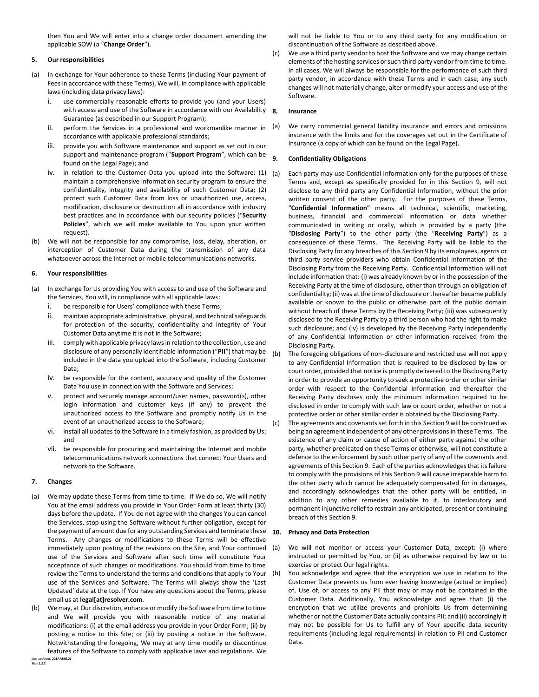then You and We will enter into a change order document amending the applicable SOW (a "**Change Order**").

#### **5. Our responsibilities**

- (a) In exchange for Your adherence to these Terms (including Your payment of Fees in accordance with these Terms), We will, in compliance with applicable laws (including data privacy laws):
	- i. use commercially reasonable efforts to provide you (and your Users) with access and use of the Software in accordance with our Availability 8. Guarantee (as described in our Support Program);
	- ii. perform the Services in a professional and workmanlike manner in  $(a)$ accordance with applicable professional standards;
	- iii. provide you with Software maintenance and support as set out in our support and maintenance program ("**Support Program**", which can be found on the Legal Page); and
	- iv. in relation to the Customer Data you upload into the Software:  $(1)$  (a) maintain a comprehensive information security program to ensure the confidentiality, integrity and availability of such Customer Data; (2) protect such Customer Data from loss or unauthorized use, access, modification, disclosure or destruction all in accordance with industry best practices and in accordance with our security policies ("**Security Policies**", which we will make available to You upon your written request).
- (b) We will not be responsible for any compromise, loss, delay, alteration, or interception of Customer Data during the transmission of any data whatsoever across the Internet or mobile telecommunications networks.

#### **6. Your responsibilities**

- (a) In exchange for Us providing You with access to and use of the Software and the Services, You will, in compliance with all applicable laws:
	- i. be responsible for Users' compliance with these Terms;
	- ii. maintain appropriate administrative, physical, and technical safeguards for protection of the security, confidentiality and integrity of Your Customer Data anytime it is not in the Software;
	- iii. comply with applicable privacy laws in relation to the collection, use and disclosure of any personally identifiable information ("**PII**") that may be included in the data you upload into the Software, including Customer Data;
	- iv. be responsible for the content, accuracy and quality of the Customer Data You use in connection with the Software and Services;
	- v. protect and securely manage account/user names, password(s), other login information and customer keys (if any) to prevent the unauthorized access to the Software and promptly notify Us in the event of an unauthorized access to the Software;
	- vi. install all updates to the Software in a timely fashion, as provided by Us; and
	- vii. be responsible for procuring and maintaining the Internet and mobile telecommunications network connections that connect Your Users and network to the Software.

#### **7. Changes**

- (a) We may update these Terms from time to time. If We do so, We will notify You at the email address you provide in Your Order Form at least thirty (30) days before the update. If You do not agree with the changes You can cancel the Services, stop using the Software without further obligation, except for the payment of amount due for any outstanding Services and terminate these  $10$ . Terms. Any changes or modifications to these Terms will be effective immediately upon posting of the revisions on the Site, and Your continued use of the Services and Software after such time will constitute Your acceptance of such changes or modifications. You should from time to time review the Terms to understand the terms and conditions that apply to Your use of the Services and Software. The Terms will always show the 'Last Updated' date at the top. If You have any questions about the Terms, please email us at **legal[at]resolver.com**.
- *Last updated: 2017.MAR.21* We may, at Our discretion, enhance or modify the Software from time to time and We will provide you with reasonable notice of any material modifications: (i) at the email address you provide in your Order Form; (ii) by posting a notice to this Site; or (iii) by posting a notice in the Software. Notwithstanding the foregoing, We may at any time modify or discontinue features of the Software to comply with applicable laws and regulations. We

will not be liable to You or to any third party for any modification or discontinuation of the Software as described above.

(c) We use a third party vendor to host the Software and we may change certain elements of the hosting services or such third party vendor from time to time. In all cases, We will always be responsible for the performance of such third party vendor, in accordance with these Terms and in each case, any such changes will not materially change, alter or modify your access and use of the Software.

#### **8. Insurance**

We carry commercial general liability insurance and errors and omissions insurance with the limits and for the coverages set out in the Certificate of Insurance (a copy of which can be found on the Legal Page).

### <span id="page-1-0"></span>**9. Confidentiality Obligations**

- Each party may use Confidential Information only for the purposes of these Terms and, except as specifically provided for in this Section [9,](#page-1-0) will not disclose to any third party any Confidential Information, without the prior written consent of the other party. For the purposes of these Terms, "**Confidential Information**" means all technical, scientific, marketing, business, financial and commercial information or data whether communicated in writing or orally, which is provided by a party (the "**Disclosing Party**") to the other party (the "**Receiving Party**") as a consequence of these Terms. The Receiving Party will be liable to the Disclosing Party for any breaches of this Sectio[n 9](#page-1-0) by its employees, agents or third party service providers who obtain Confidential Information of the Disclosing Party from the Receiving Party. Confidential Information will not include information that: (i) was already known by or in the possession of the Receiving Party at the time of disclosure, other than through an obligation of confidentiality; (ii) was at the time of disclosure or thereafter became publicly available or known to the public or otherwise part of the public domain without breach of these Terms by the Receiving Party; (iii) was subsequently disclosed to the Receiving Party by a third person who had the right to make such disclosure; and (iv) is developed by the Receiving Party independently of any Confidential Information or other information received from the Disclosing Party.
- (b) The foregoing obligations of non-disclosure and restricted use will not apply to any Confidential Information that is required to be disclosed by law or court order, provided that notice is promptly delivered to the Disclosing Party in order to provide an opportunity to seek a protective order or other similar order with respect to the Confidential Information and thereafter the Receiving Party discloses only the minimum information required to be disclosed in order to comply with such law or court order, whether or not a protective order or other similar order is obtained by the Disclosing Party.
- (c) The agreements and covenants set forth in this Sectio[n 9](#page-1-0) will be construed as being an agreement independent of any other provisions in these Terms. The existence of any claim or cause of action of either party against the other party, whether predicated on these Terms or otherwise, will not constitute a defence to the enforcement by such other party of any of the covenants and agreements of this Sectio[n 9.](#page-1-0) Each of the parties acknowledges that its failure to comply with the provisions of this Sectio[n 9](#page-1-0) will cause irreparable harm to the other party which cannot be adequately compensated for in damages, and accordingly acknowledges that the other party will be entitled, in addition to any other remedies available to it, to interlocutory and permanent injunctive relief to restrain any anticipated, present or continuing breach of this Sectio[n 9.](#page-1-0)

#### **10. Privacy and Data Protection**

- (a) We will not monitor or access your Customer Data, except: (i) where instructed or permitted by You, or (ii) as otherwise required by law or to exercise or protect Our legal rights.
	- You acknowledge and agree that the encryption we use in relation to the Customer Data prevents us from ever having knowledge (actual or implied) of, Use of, or access to any PII that may or may not be contained in the Customer Data. Additionally, You acknowledge and agree that: (i) the encryption that we utilize prevents and prohibits Us from determining whether or not the Customer Data actually contains PII; and (ii) accordingly it may not be possible for Us to fulfill any of Your specific data security requirements (including legal requirements) in relation to PII and Customer Data.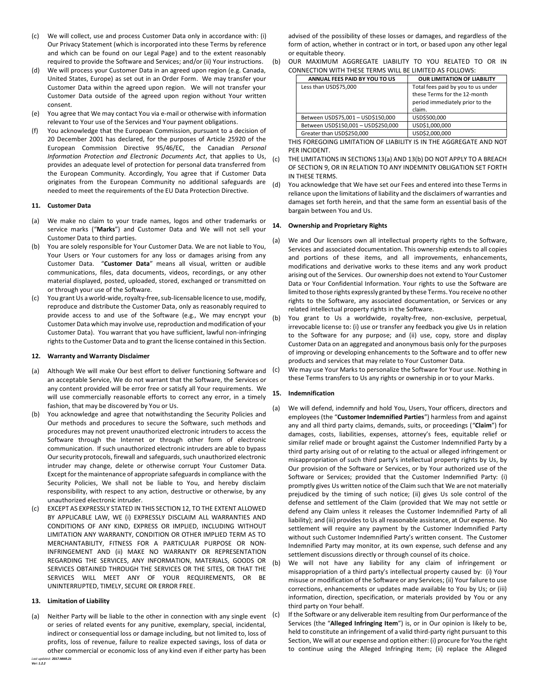- (c) We will collect, use and process Customer Data only in accordance with: (i) Our Privacy Statement (which is incorporated into these Terms by reference and which can be found on our Legal Page) and to the extent reasonably required to provide the Software and Services; and/or (ii) Your instructions.
- (d) We will process your Customer Data in an agreed upon region (e.g. Canada, United States, Europe) as set out in an Order Form. We may transfer your Customer Data within the agreed upon region. We will not transfer your Customer Data outside of the agreed upon region without Your written consent.
- (e) You agree that We may contact You via e-mail or otherwise with information relevant to Your use of the Services and Your payment obligations.
- (f) You acknowledge that the European Commission, pursuant to a decision of 20 December 2001 has declared, for the purposes of Article 25920 of the European Commission Directive 95/46/EC, the Canadian *Personal Information Protection and Electronic Documents Act*, that applies to Us, provides an adequate level of protection for personal data transferred from the European Community. Accordingly, You agree that if Customer Data originates from the European Community no additional safeguards are needed to meet the requirements of the EU Data Protection Directive.

### **11. Customer Data**

- (a) We make no claim to your trade names, logos and other trademarks or service marks ("**Marks**") and Customer Data and We will not sell your Customer Data to third parties.
- (b) You are solely responsible for Your Customer Data. We are not liable to You, Your Users or Your customers for any loss or damages arising from any Customer Data. "**Customer Data**" means all visual, written or audible communications, files, data documents, videos, recordings, or any other material displayed, posted, uploaded, stored, exchanged or transmitted on or through your use of the Software.
- (c) You grant Us a world-wide, royalty-free, sub-licensable licence to use, modify, reproduce and distribute the Customer Data, only as reasonably required to provide access to and use of the Software (e.g., We may encrypt your Customer Data which may involve use, reproduction and modification of your Customer Data). You warrant that you have sufficient, lawful non-infringing rights to the Customer Data and to grant the license contained in this Section.

### <span id="page-2-0"></span>**12. Warranty and Warranty Disclaimer**

- (a) Although We will make Our best effort to deliver functioning Software and an acceptable Service, We do not warrant that the Software, the Services or any content provided will be error free or satisfy all Your requirements. We will use commercially reasonable efforts to correct any error, in a timely fashion, that may be discovered by You or Us.
- (b) You acknowledge and agree that notwithstanding the Security Policies and Our methods and procedures to secure the Software, such methods and procedures may not prevent unauthorized electronic intruders to access the Software through the Internet or through other form of electronic communication. If such unauthorized electronic intruders are able to bypass Our security protocols, firewall and safeguards, such unauthorized electronic intruder may change, delete or otherwise corrupt Your Customer Data. Except for the maintenance of appropriate safeguards in compliance with the Security Policies, We shall not be liable to You, and hereby disclaim responsibility, with respect to any action, destructive or otherwise, by any unauthorized electronic intruder.
- (c) EXCEPT AS EXPRESSLY STATED IN THIS SECTIO[N 12,](#page-2-0) TO THE EXTENT ALLOWED BY APPLICABLE LAW, WE (i) EXPRESSLY DISCLAIM ALL WARRANTIES AND CONDITIONS OF ANY KIND, EXPRESS OR IMPLIED, INCLUDING WITHOUT LIMITATION ANY WARRANTY, CONDITION OR OTHER IMPLIED TERM AS TO MERCHANTABILITY, FITNESS FOR A PARTICULAR PURPOSE OR NON-INFRINGEMENT AND (ii) MAKE NO WARRANTY OR REPRESENTATION REGARDING THE SERVICES, ANY INFORMATION, MATERIALS, GOODS OR SERVICES OBTAINED THROUGH THE SERVICES OR THE SITES, OR THAT THE SERVICES WILL MEET ANY OF YOUR REQUIREMENTS, OR BE UNINTERRUPTED, TIMELY, SECURE OR ERROR FREE.

# **13. Limitation of Liability**

<span id="page-2-1"></span>*Last updated: 2017.MAR.21* (a) Neither Party will be liable to the other in connection with any single event  $(c)$ or series of related events for any punitive, exemplary, special, incidental, indirect or consequential loss or damage including, but not limited to, loss of profits, loss of revenue, failure to realize expected savings, loss of data or other commercial or economic loss of any kind even if either party has been

advised of the possibility of these losses or damages, and regardless of the form of action, whether in contract or in tort, or based upon any other legal or equitable theory.

<span id="page-2-2"></span>(b) OUR MAXIMUM AGGREGATE LIABILITY TO YOU RELATED TO OR IN CONNECTION WITH THESE TERMS WILL BE LIMITED AS FOLLOWS:

| ANNUAL FEES PAID BY YOU TO US       | <b>OUR LIMITATION OF LIABILITY</b> |
|-------------------------------------|------------------------------------|
| Less than USD\$75,000               | Total fees paid by you to us under |
|                                     | these Terms for the 12-month       |
|                                     | period immediately prior to the    |
|                                     | claim.                             |
| Between USD\$75,001 - USD\$150,000  | USD\$500,000                       |
| Between USD\$150,001 - USD\$250,000 | USD\$1,000,000                     |
| Greater than USD\$250,000           | USD\$2,000,000                     |

THIS FOREGOING LIMITATION OF LIABILITY IS IN THE AGGREGATE AND NOT PER INCIDENT.

- (c) THE LIMITATIONS IN SECTION[S 13\(a\)](#page-2-1) AND [13\(b\)](#page-2-2) DO NOT APPLY TO A BREACH OF SECTIO[N 9,](#page-1-0) OR IN RELATION TO ANY INDEMNITY OBLIGATION SET FORTH IN THESE TERMS.
- (d) You acknowledge that We have set our Fees and entered into these Terms in reliance upon the limitations of liability and the disclaimers of warranties and damages set forth herein, and that the same form an essential basis of the bargain between You and Us.

## **14. Ownership and Proprietary Rights**

- (a) We and Our licensors own all intellectual property rights to the Software, Services and associated documentation. This ownership extends to all copies and portions of these items, and all improvements, enhancements, modifications and derivative works to these items and any work product arising out of the Services. Our ownership does not extend to Your Customer Data or Your Confidential Information. Your rights to use the Software are limited to those rights expressly granted by these Terms. You receive no other rights to the Software, any associated documentation, or Services or any related intellectual property rights in the Software.
- (b) You grant to Us a worldwide, royalty-free, non-exclusive, perpetual, irrevocable license to: (i) use or transfer any feedback you give Us in relation to the Software for any purpose; and (ii) use, copy, store and display Customer Data on an aggregated and anonymous basis only for the purposes of improving or developing enhancements to the Software and to offer new products and services that may relate to Your Customer Data.
- (c) We may use Your Marks to personalize the Software for Your use. Nothing in these Terms transfers to Us any rights or ownership in or to your Marks.

# **15. Indemnification**

(a) We will defend, indemnify and hold You, Users, Your officers, directors and employees (the "**Customer Indemnified Parties**") harmless from and against any and all third party claims, demands, suits, or proceedings ("**Claim**") for damages, costs, liabilities, expenses, attorney's fees, equitable relief or similar relief made or brought against the Customer Indemnified Party by a third party arising out of or relating to the actual or alleged infringement or misappropriation of such third party's intellectual property rights by Us, by Our provision of the Software or Services, or by Your authorized use of the Software or Services; provided that the Customer Indemnified Party: (i) promptly gives Us written notice of the Claim such that We are not materially prejudiced by the timing of such notice; (ii) gives Us sole control of the defense and settlement of the Claim (provided that We may not settle or defend any Claim unless it releases the Customer Indemnified Party of all liability); and (iii) provides to Us all reasonable assistance, at Our expense. No settlement will require any payment by the Customer Indemnified Party without such Customer Indemnified Party's written consent. The Customer Indemnified Party may monitor, at its own expense, such defense and any settlement discussions directly or through counsel of its choice.

(b) We will not have any liability for any claim of infringement or misappropriation of a third party's intellectual property caused by: (i) Your misuse or modification of the Software or any Services; (ii) Your failure to use corrections, enhancements or updates made available to You by Us; or (iii) information, direction, specification, or materials provided by You or any third party on Your behalf.

If the Software or any deliverable item resulting from Our performance of the Services (the "**Alleged Infringing Item**") is, or in Our opinion is likely to be, held to constitute an infringement of a valid third-party right pursuant to this Section, We will at our expense and option either: (i) procure for You the right to continue using the Alleged Infringing Item; (ii) replace the Alleged